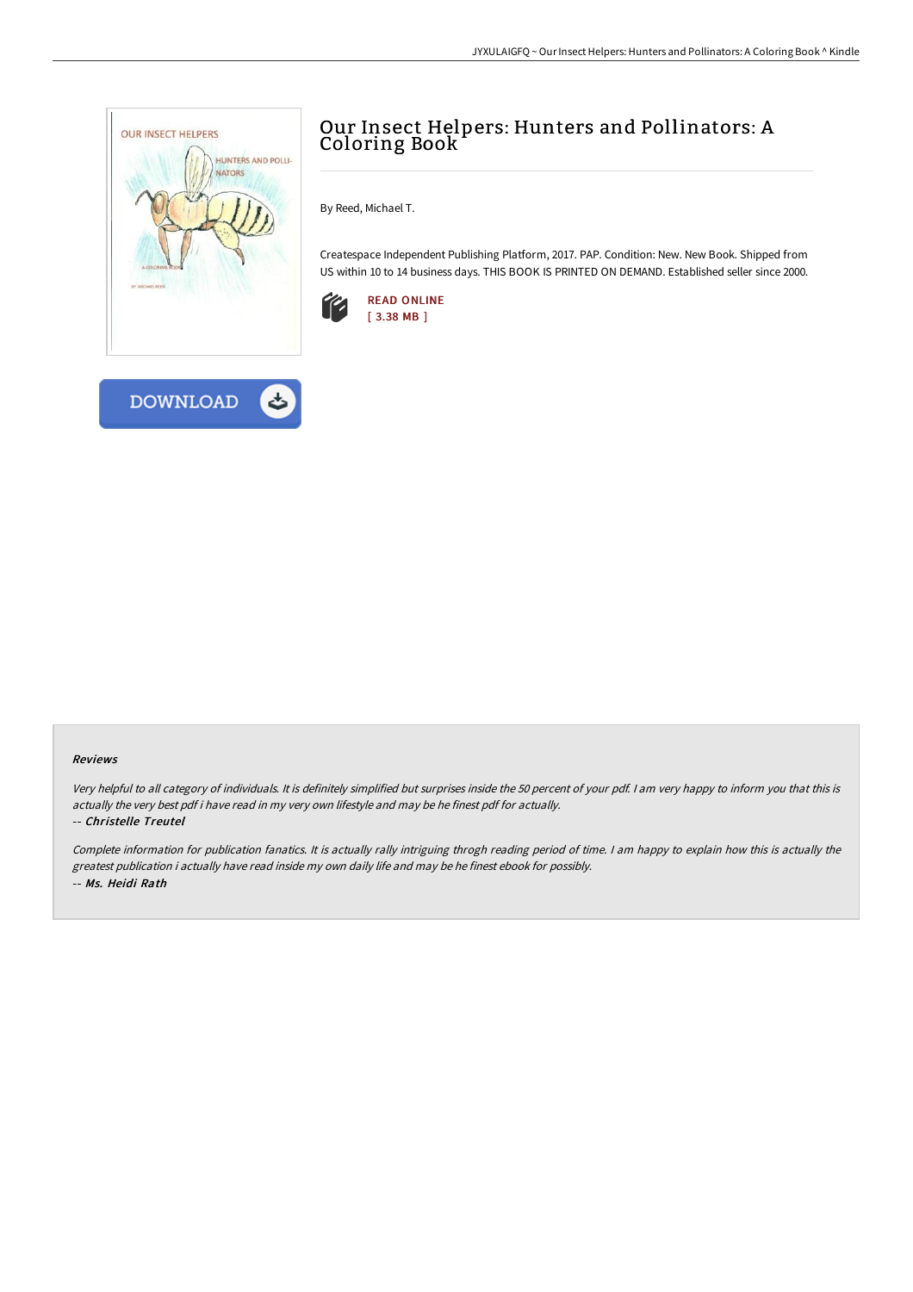

# Our Insect Helpers: Hunters and Pollinators: A Coloring Book

By Reed, Michael T.

Createspace Independent Publishing Platform, 2017. PAP. Condition: New. New Book. Shipped from US within 10 to 14 business days. THIS BOOK IS PRINTED ON DEMAND. Established seller since 2000.





Very helpful to all category of individuals. It is definitely simplified but surprises inside the <sup>50</sup> percent of your pdf. <sup>I</sup> am very happy to inform you that this is actually the very best pdf i have read in my very own lifestyle and may be he finest pdf for actually.

#### -- Christelle Treutel

Complete information for publication fanatics. It is actually rally intriguing throgh reading period of time. <sup>I</sup> am happy to explain how this is actually the greatest publication i actually have read inside my own daily life and may be he finest ebook for possibly. -- Ms. Heidi Rath